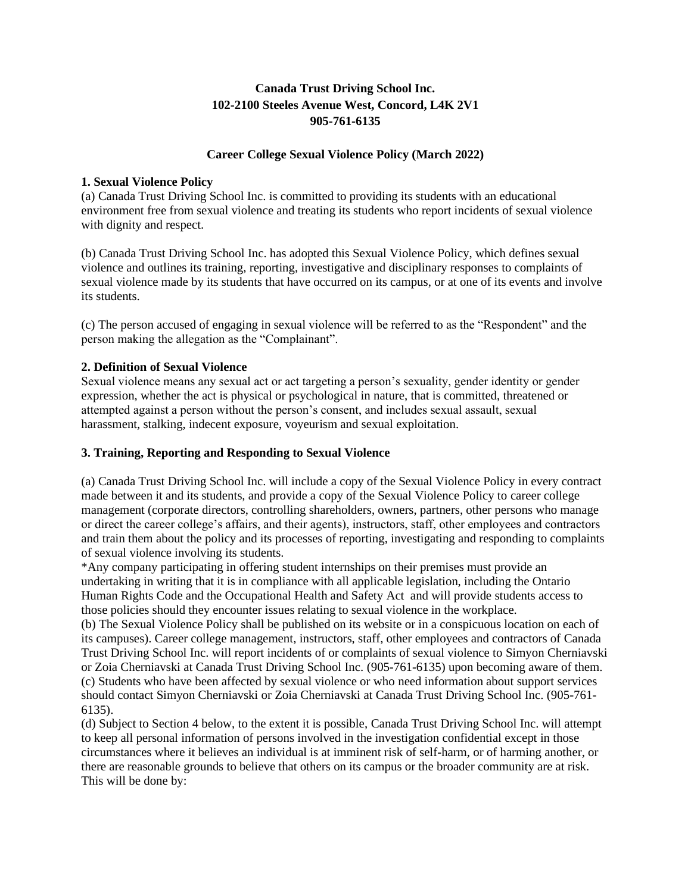# **Canada Trust Driving School Inc. 102-2100 Steeles Avenue West, Concord, L4K 2V1 905-761-6135**

# **Career College Sexual Violence Policy (March 2022)**

# **1. Sexual Violence Policy**

(a) Canada Trust Driving School Inc. is committed to providing its students with an educational environment free from sexual violence and treating its students who report incidents of sexual violence with dignity and respect.

(b) Canada Trust Driving School Inc. has adopted this Sexual Violence Policy, which defines sexual violence and outlines its training, reporting, investigative and disciplinary responses to complaints of sexual violence made by its students that have occurred on its campus, or at one of its events and involve its students.

(c) The person accused of engaging in sexual violence will be referred to as the "Respondent" and the person making the allegation as the "Complainant".

# **2. Definition of Sexual Violence**

Sexual violence means any sexual act or act targeting a person's sexuality, gender identity or gender expression, whether the act is physical or psychological in nature, that is committed, threatened or attempted against a person without the person's consent, and includes sexual assault, sexual harassment, stalking, indecent exposure, voyeurism and sexual exploitation.

# **3. Training, Reporting and Responding to Sexual Violence**

(a) Canada Trust Driving School Inc. will include a copy of the Sexual Violence Policy in every contract made between it and its students, and provide a copy of the Sexual Violence Policy to career college management (corporate directors, controlling shareholders, owners, partners, other persons who manage or direct the career college's affairs, and their agents), instructors, staff, other employees and contractors and train them about the policy and its processes of reporting, investigating and responding to complaints of sexual violence involving its students.

\*Any company participating in offering student internships on their premises must provide an undertaking in writing that it is in compliance with all applicable legislation, including the Ontario Human Rights Code and the Occupational Health and Safety Act and will provide students access to those policies should they encounter issues relating to sexual violence in the workplace.

(b) The Sexual Violence Policy shall be published on its website or in a conspicuous location on each of its campuses). Career college management, instructors, staff, other employees and contractors of Canada Trust Driving School Inc. will report incidents of or complaints of sexual violence to Simyon Cherniavski or Zoia Cherniavski at Canada Trust Driving School Inc. (905-761-6135) upon becoming aware of them. (c) Students who have been affected by sexual violence or who need information about support services should contact Simyon Cherniavski or Zoia Cherniavski at Canada Trust Driving School Inc. (905-761- 6135).

(d) Subject to Section 4 below, to the extent it is possible, Canada Trust Driving School Inc. will attempt to keep all personal information of persons involved in the investigation confidential except in those circumstances where it believes an individual is at imminent risk of self-harm, or of harming another, or there are reasonable grounds to believe that others on its campus or the broader community are at risk. This will be done by: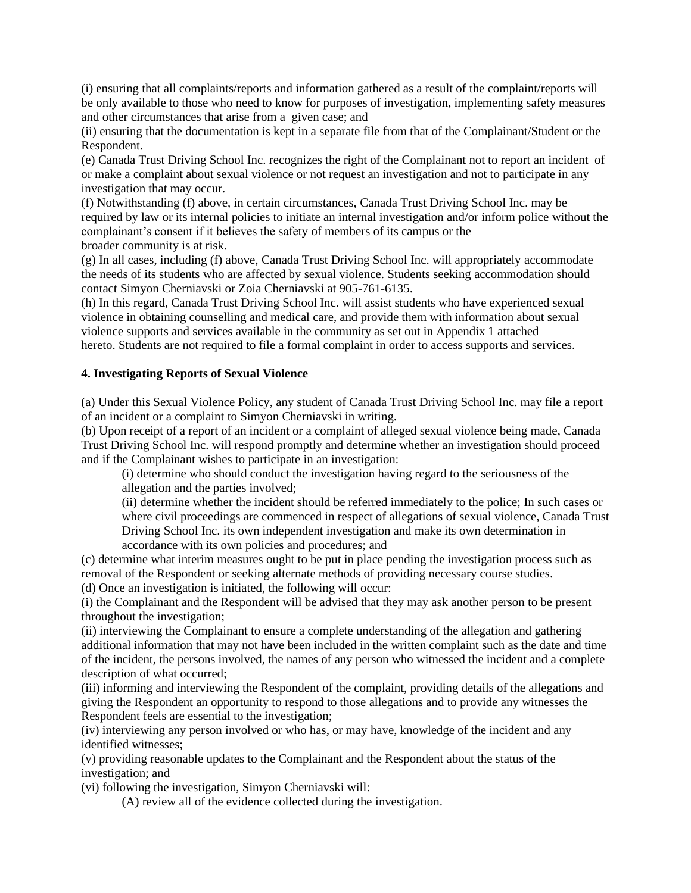(i) ensuring that all complaints/reports and information gathered as a result of the complaint/reports will be only available to those who need to know for purposes of investigation, implementing safety measures and other circumstances that arise from a given case; and

(ii) ensuring that the documentation is kept in a separate file from that of the Complainant/Student or the Respondent.

(e) Canada Trust Driving School Inc. recognizes the right of the Complainant not to report an incident of or make a complaint about sexual violence or not request an investigation and not to participate in any investigation that may occur.

(f) Notwithstanding (f) above, in certain circumstances, Canada Trust Driving School Inc. may be required by law or its internal policies to initiate an internal investigation and/or inform police without the complainant's consent if it believes the safety of members of its campus or the broader community is at risk.

(g) In all cases, including (f) above, Canada Trust Driving School Inc. will appropriately accommodate the needs of its students who are affected by sexual violence. Students seeking accommodation should contact Simyon Cherniavski or Zoia Cherniavski at 905-761-6135.

(h) In this regard, Canada Trust Driving School Inc. will assist students who have experienced sexual violence in obtaining counselling and medical care, and provide them with information about sexual violence supports and services available in the community as set out in Appendix 1 attached hereto. Students are not required to file a formal complaint in order to access supports and services.

# **4. Investigating Reports of Sexual Violence**

(a) Under this Sexual Violence Policy, any student of Canada Trust Driving School Inc. may file a report of an incident or a complaint to Simyon Cherniavski in writing.

(b) Upon receipt of a report of an incident or a complaint of alleged sexual violence being made, Canada Trust Driving School Inc. will respond promptly and determine whether an investigation should proceed and if the Complainant wishes to participate in an investigation:

(i) determine who should conduct the investigation having regard to the seriousness of the allegation and the parties involved;

(ii) determine whether the incident should be referred immediately to the police; In such cases or where civil proceedings are commenced in respect of allegations of sexual violence, Canada Trust Driving School Inc. its own independent investigation and make its own determination in accordance with its own policies and procedures; and

(c) determine what interim measures ought to be put in place pending the investigation process such as removal of the Respondent or seeking alternate methods of providing necessary course studies. (d) Once an investigation is initiated, the following will occur:

(i) the Complainant and the Respondent will be advised that they may ask another person to be present throughout the investigation;

(ii) interviewing the Complainant to ensure a complete understanding of the allegation and gathering additional information that may not have been included in the written complaint such as the date and time of the incident, the persons involved, the names of any person who witnessed the incident and a complete description of what occurred;

(iii) informing and interviewing the Respondent of the complaint, providing details of the allegations and giving the Respondent an opportunity to respond to those allegations and to provide any witnesses the Respondent feels are essential to the investigation;

(iv) interviewing any person involved or who has, or may have, knowledge of the incident and any identified witnesses;

(v) providing reasonable updates to the Complainant and the Respondent about the status of the investigation; and

(vi) following the investigation, Simyon Cherniavski will:

(A) review all of the evidence collected during the investigation.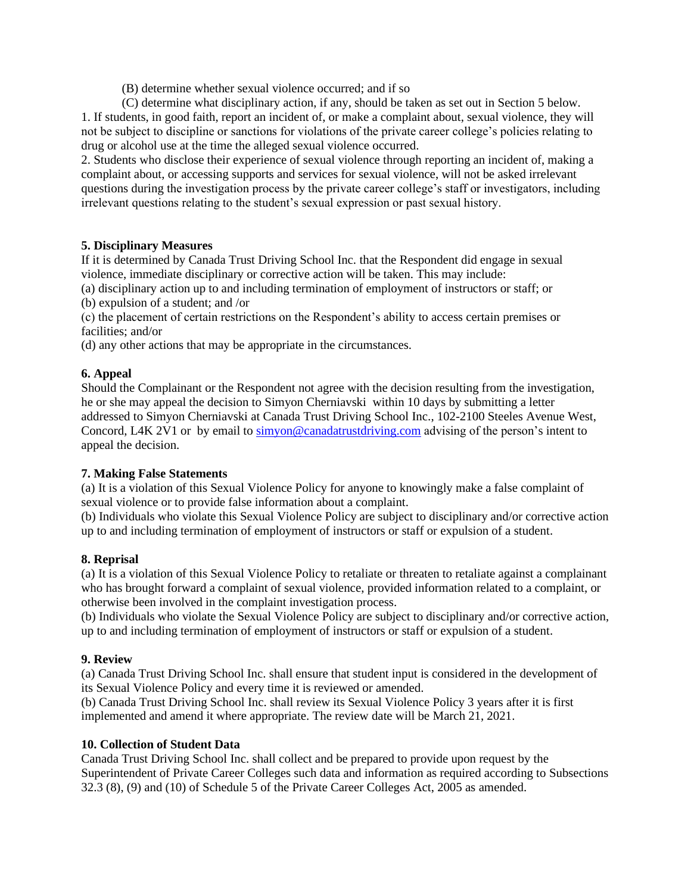(B) determine whether sexual violence occurred; and if so

(C) determine what disciplinary action, if any, should be taken as set out in Section 5 below. 1. If students, in good faith, report an incident of, or make a complaint about, sexual violence, they will not be subject to discipline or sanctions for violations of the private career college's policies relating to

drug or alcohol use at the time the alleged sexual violence occurred.

2. Students who disclose their experience of sexual violence through reporting an incident of, making a complaint about, or accessing supports and services for sexual violence, will not be asked irrelevant questions during the investigation process by the private career college's staff or investigators, including irrelevant questions relating to the student's sexual expression or past sexual history.

# **5. Disciplinary Measures**

If it is determined by Canada Trust Driving School Inc. that the Respondent did engage in sexual violence, immediate disciplinary or corrective action will be taken. This may include:

(a) disciplinary action up to and including termination of employment of instructors or staff; or (b) expulsion of a student; and /or

(c) the placement of certain restrictions on the Respondent's ability to access certain premises or facilities; and/or

(d) any other actions that may be appropriate in the circumstances.

# **6. Appeal**

Should the Complainant or the Respondent not agree with the decision resulting from the investigation, he or she may appeal the decision to Simyon Cherniavski within 10 days by submitting a letter addressed to Simyon Cherniavski at Canada Trust Driving School Inc., 102-2100 Steeles Avenue West, Concord, L4K 2V1 or by email to [simyon@canadatrustdriving.com](mailto:simyon@canadatrustdriving.com) advising of the person's intent to appeal the decision.

# **7. Making False Statements**

(a) It is a violation of this Sexual Violence Policy for anyone to knowingly make a false complaint of sexual violence or to provide false information about a complaint.

(b) Individuals who violate this Sexual Violence Policy are subject to disciplinary and/or corrective action up to and including termination of employment of instructors or staff or expulsion of a student.

# **8. Reprisal**

(a) It is a violation of this Sexual Violence Policy to retaliate or threaten to retaliate against a complainant who has brought forward a complaint of sexual violence, provided information related to a complaint, or otherwise been involved in the complaint investigation process.

(b) Individuals who violate the Sexual Violence Policy are subject to disciplinary and/or corrective action, up to and including termination of employment of instructors or staff or expulsion of a student.

# **9. Review**

(a) Canada Trust Driving School Inc. shall ensure that student input is considered in the development of its Sexual Violence Policy and every time it is reviewed or amended.

(b) Canada Trust Driving School Inc. shall review its Sexual Violence Policy 3 years after it is first implemented and amend it where appropriate. The review date will be March 21, 2021.

# **10. Collection of Student Data**

Canada Trust Driving School Inc. shall collect and be prepared to provide upon request by the Superintendent of Private Career Colleges such data and information as required according to Subsections 32.3 (8), (9) and (10) of Schedule 5 of the Private Career Colleges Act, 2005 as amended.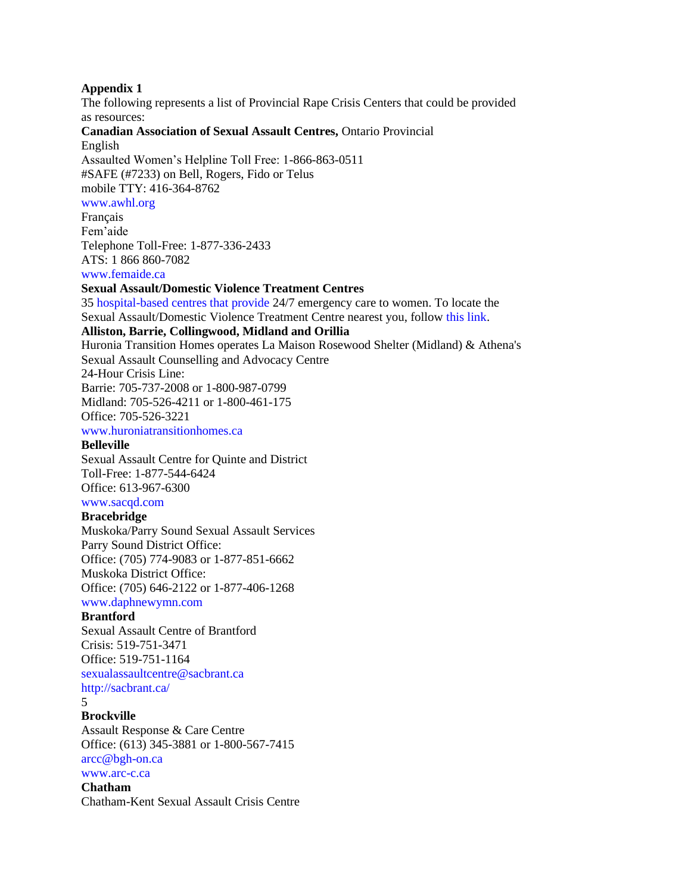#### **Appendix 1**

The following represents a list of Provincial Rape Crisis Centers that could be provided as resources: **Canadian Association of Sexual Assault Centres,** Ontario Provincial English Assaulted Women's Helpline Toll Free: 1-866-863-0511 #SAFE (#7233) on Bell, Rogers, Fido or Telus mobile TTY: 416-364-8762 www.awhl.org Français Fem'aide Telephone Toll-Free: 1-877-336-2433 ATS: 1 866 860-7082 www.femaide.ca **Sexual Assault/Domestic Violence Treatment Centres** 35 hospital-based centres that provide 24/7 emergency care to women. To locate the Sexual Assault/Domestic Violence Treatment Centre nearest you, follow this link. **Alliston, Barrie, Collingwood, Midland and Orillia** Huronia Transition Homes operates La Maison Rosewood Shelter (Midland) & Athena's Sexual Assault Counselling and Advocacy Centre 24-Hour Crisis Line: Barrie: 705-737-2008 or 1-800-987-0799 Midland: 705-526-4211 or 1-800-461-175 Office: 705-526-3221 www.huroniatransitionhomes.ca **Belleville** Sexual Assault Centre for Quinte and District Toll-Free: 1-877-544-6424 Office: 613-967-6300 www.sacqd.com **Bracebridge** Muskoka/Parry Sound Sexual Assault Services Parry Sound District Office: Office: (705) 774-9083 or 1-877-851-6662 Muskoka District Office: Office: (705) 646-2122 or 1-877-406-1268 www.daphnewymn.com **Brantford** Sexual Assault Centre of Brantford Crisis: 519-751-3471 Office: 519-751-1164 sexualassaultcentre@sacbrant.ca http://sacbrant.ca/ 5 **Brockville** Assault Response & Care Centre Office: (613) 345-3881 or 1-800-567-7415 arcc@bgh-on.ca www.arc-c.ca **Chatham** Chatham-Kent Sexual Assault Crisis Centre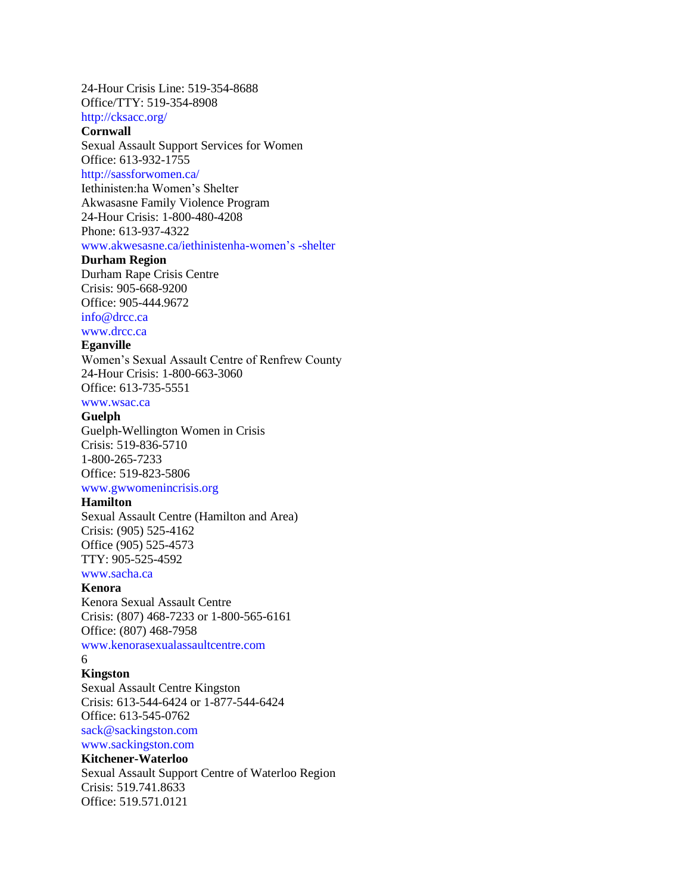24-Hour Crisis Line: 519-354-8688 Office/TTY: 519-354-8908

http://cksacc.org/

# **Cornwall**

Sexual Assault Support Services for Women Office: 613-932-1755

http://sassforwomen.ca/

Iethinisten:ha Women's Shelter Akwasasne Family Violence Program 24-Hour Crisis: 1-800-480-4208 Phone: 613-937-4322 www.akwesasne.ca/iethinistenha-women's -shelter

#### **Durham Region**

Durham Rape Crisis Centre Crisis: 905-668-9200 Office: 905-444.9672

info@drcc.ca www.drcc.ca

# **Eganville**

Women's Sexual Assault Centre of Renfrew County 24-Hour Crisis: 1-800-663-3060 Office: 613-735-5551

# www.wsac.ca

#### **Guelph**

Guelph-Wellington Women in Crisis Crisis: 519-836-5710 1-800-265-7233 Office: 519-823-5806 www.gwwomenincrisis.org

#### **Hamilton**

Sexual Assault Centre (Hamilton and Area) Crisis: (905) 525-4162 Office (905) 525-4573 TTY: 905-525-4592

www.sacha.ca

#### **Kenora**

Kenora Sexual Assault Centre Crisis: (807) 468-7233 or 1-800-565-6161 Office: (807) 468-7958

www.kenorasexualassaultcentre.com

### 6

#### **Kingston**

Sexual Assault Centre Kingston Crisis: 613-544-6424 or 1-877-544-6424 Office: 613-545-0762

sack@sackingston.com

#### www.sackingston.com **Kitchener-Waterloo**

Sexual Assault Support Centre of Waterloo Region Crisis: 519.741.8633 Office: 519.571.0121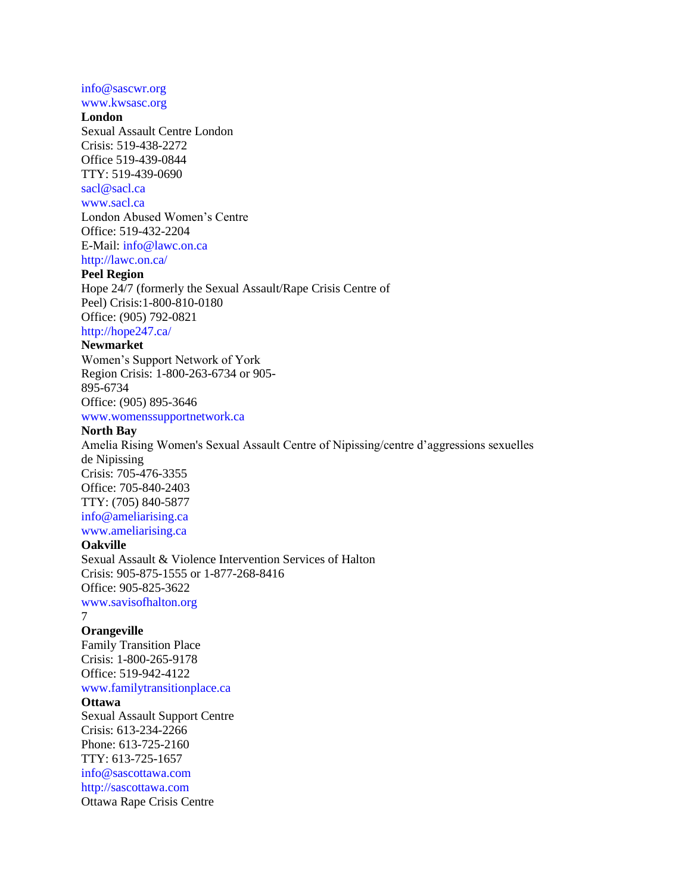#### info@sascwr.org www.kwsasc.org

#### **London**

Sexual Assault Centre London Crisis: 519-438-2272 Office 519-439-0844 TTY: 519-439-0690 sacl@sacl.ca www.sacl.ca London Abused Women's Centre Office: 519-432-2204 E-Mail: info@lawc.on.ca http://lawc.on.ca/

# **Peel Region**

Hope 24/7 (formerly the Sexual Assault/Rape Crisis Centre of Peel) Crisis:1-800-810-0180 Office: (905) 792-0821 http://hope247.ca/

#### **Newmarket**

Women's Support Network of York Region Crisis: 1-800-263-6734 or 905- 895-6734 Office: (905) 895-3646 www.womenssupportnetwork.ca

# **North Bay**

Amelia Rising Women's Sexual Assault Centre of Nipissing/centre d'aggressions sexuelles de Nipissing Crisis: 705-476-3355 Office: 705-840-2403 TTY: (705) 840-5877 info@ameliarising.ca www.ameliarising.ca

### **Oakville**

Sexual Assault & Violence Intervention Services of Halton Crisis: 905-875-1555 or 1-877-268-8416 Office: 905-825-3622 www.savisofhalton.org

7

#### **Orangeville**

Family Transition Place Crisis: 1-800-265-9178 Office: 519-942-4122

www.familytransitionplace.ca

# **Ottawa**

Sexual Assault Support Centre Crisis: 613-234-2266 Phone: 613-725-2160 TTY: 613-725-1657 info@sascottawa.com http://sascottawa.com Ottawa Rape Crisis Centre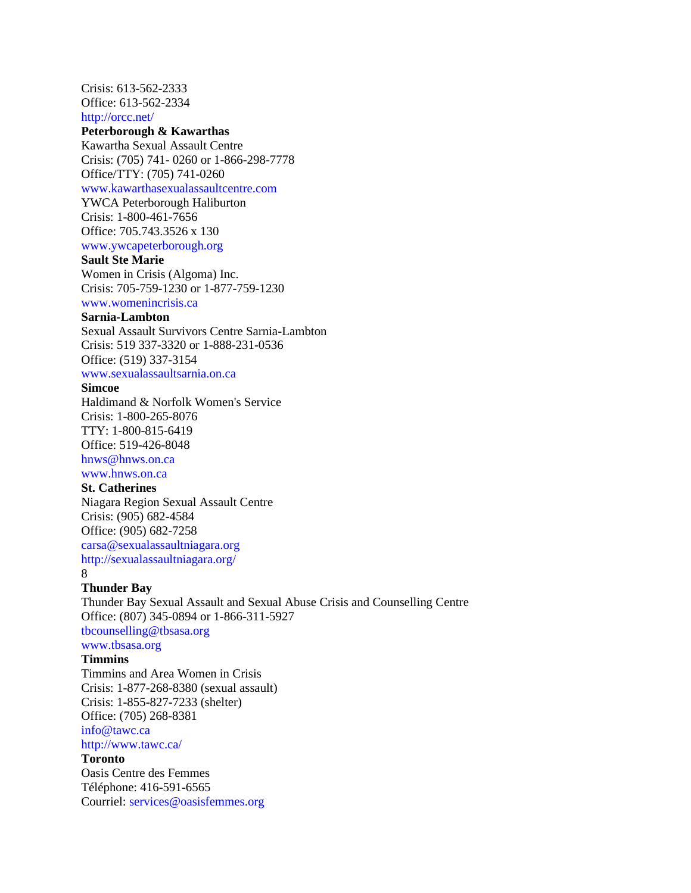Crisis: 613-562-2333 Office: 613-562-2334 http://orcc.net/

# **Peterborough & Kawarthas**

Kawartha Sexual Assault Centre Crisis: (705) 741- 0260 or 1-866-298-7778 Office/TTY: (705) 741-0260

www.kawarthasexualassaultcentre.com

YWCA Peterborough Haliburton Crisis: 1-800-461-7656 Office: 705.743.3526 x 130 www.ywcapeterborough.org

#### **Sault Ste Marie**

Women in Crisis (Algoma) Inc. Crisis: 705-759-1230 or 1-877-759-1230 www.womenincrisis.ca

# **Sarnia-Lambton**

Sexual Assault Survivors Centre Sarnia-Lambton Crisis: 519 337-3320 or 1-888-231-0536 Office: (519) 337-3154

www.sexualassaultsarnia.on.ca

### **Simcoe**

Haldimand & Norfolk Women's Service Crisis: 1-800-265-8076 TTY: 1-800-815-6419 Office: 519-426-8048 hnws@hnws.on.ca

www.hnws.on.ca

#### **St. Catherines**

Niagara Region Sexual Assault Centre Crisis: (905) 682-4584 Office: (905) 682-7258 carsa@sexualassaultniagara.org http://sexualassaultniagara.org/ 8

#### **Thunder Bay**

Thunder Bay Sexual Assault and Sexual Abuse Crisis and Counselling Centre Office: (807) 345-0894 or 1-866-311-5927 tbcounselling@tbsasa.org www.tbsasa.org

#### **Timmins**

Timmins and Area Women in Crisis Crisis: 1-877-268-8380 (sexual assault) Crisis: 1-855-827-7233 (shelter) Office: (705) 268-8381

info@tawc.ca

http://www.tawc.ca/

#### **Toronto**

Oasis Centre des Femmes Téléphone: 416-591-6565 Courriel: services@oasisfemmes.org